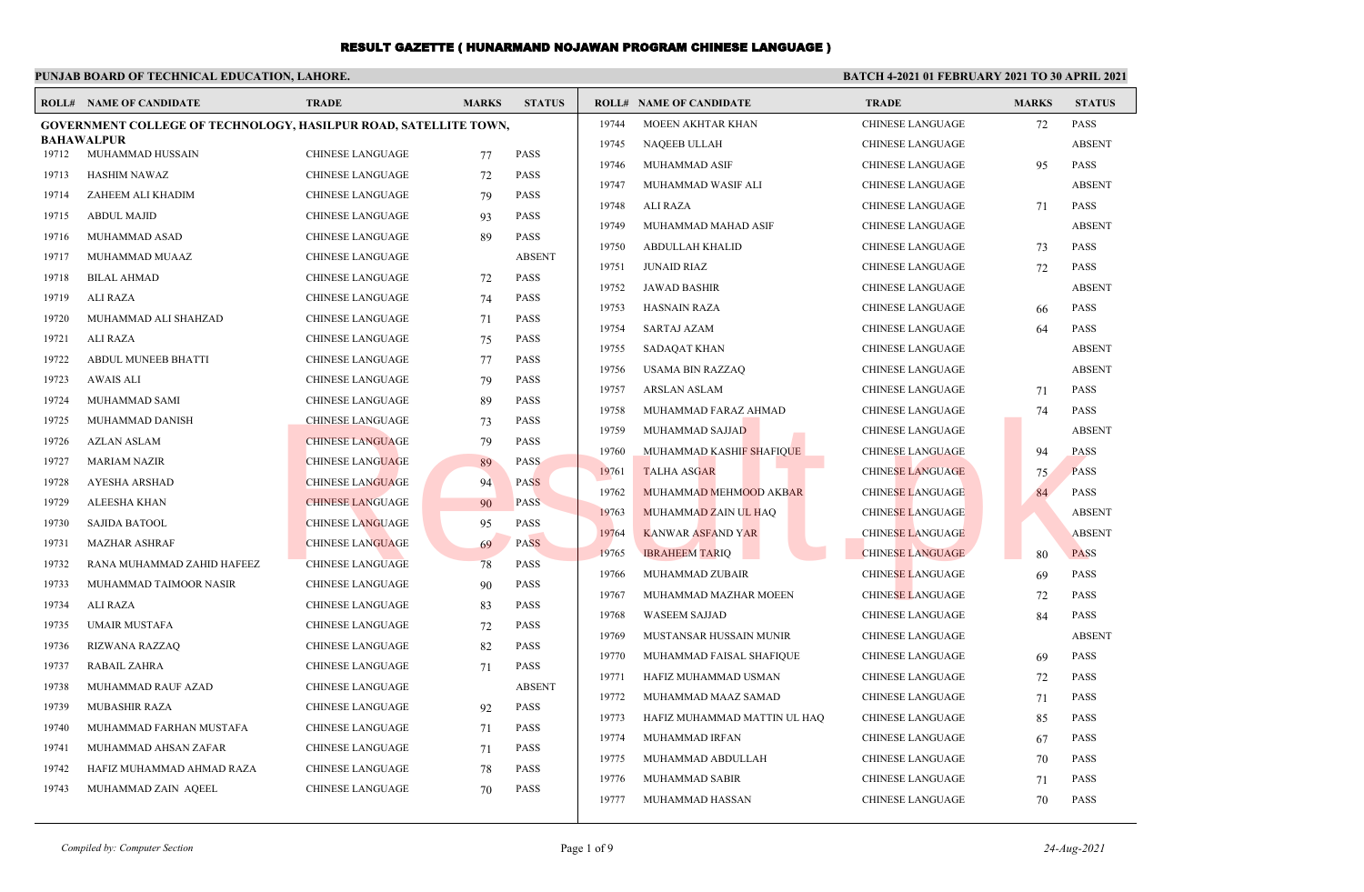#### **PUNJAB BOARD OF TECHNICAL EDUCATION, LAHORE. BATCH 4-2021 01 FEBRUARY 2021 TO 30 APRIL 2021 ROLL# NAME OF CANDIDATE TRADE MARKS STATUS ROLL# NAME OF CANDIDATE TRADE MARKS STATUS GOVERNMENT COLLEGE OF TECHNOLOGY, HASILPUR ROAD, SATELLITE TOWN, BAHAWALPUR** 19712 MUHAMMAD HUSSAIN CHINESE LANGUAGE 77 PASS 19713 HASHIM NAWAZ CHINESE LANGUAGE 72 PASS 19714 ZAHEEM ALI KHADIM CHINESE LANGUAGE 79 PASS 19715 ABDUL MAJID CHINESE LANGUAGE 93 PASS 19716 MUHAMMAD ASAD CHINESE LANGUAGE 89 PASS 19717 MUHAMMAD MUAAZ CHINESE LANGUAGE ABSENT 19718 BILAL AHMAD CHINESE LANGUAGE 72 PASS 19719 ALI RAZA CHINESE LANGUAGE 74 PASS 19720 MUHAMMAD ALI SHAHZAD CHINESE LANGUAGE 71 PASS 19721 ALI RAZA CHINESE LANGUAGE 75 PASS 19722 ABDUL MUNEEB BHATTI CHINESE LANGUAGE 77 PASS 19723 AWAIS ALI CHINESE LANGUAGE 79 PASS 19724 MUHAMMAD SAMI CHINESE LANGUAGE 89 PASS 19725 MUHAMMAD DANISH CHINESE LANGUAGE 73 PASS 19726 AZLAN ASLAM CHINESE LANGUAGE 79 PASS 19727 MARIAM NAZIR CHINESE LANGUAGE 89 PASS 19728 AYESHA ARSHAD CHINESE LANGUAGE 94 PASS 19729 ALEESHA KHAN CHINESE LANGUAGE 90 PASS 19730 SAJIDA BATOOL CHINESE LANGUAGE 95 PASS 19731 MAZHAR ASHRAF CHINESE LANGUAGE 69 PASS 19732 RANA MUHAMMAD ZAHID HAFEEZ CHINESE LANGUAGE 78 PASS 19733 MUHAMMAD TAIMOOR NASIR CHINESE LANGUAGE 90 PASS 19734 ALI RAZA CHINESE LANGUAGE 83 PASS 19735 UMAIR MUSTAFA CHINESE LANGUAGE 72 PASS 19736 RIZWANA RAZZAQ CHINESE LANGUAGE 82 PASS 19737 RABAIL ZAHRA CHINESE LANGUAGE 71 PASS 19738 MUHAMMAD RAUF AZAD CHINESE LANGUAGE ABSENT 19739 MUBASHIR RAZA CHINESE LANGUAGE 92 PASS 19740 MUHAMMAD FARHAN MUSTAFA CHINESE LANGUAGE 71 PASS 19741 MUHAMMAD AHSAN ZAFAR CHINESE LANGUAGE 71 PASS 19742 HAFIZ MUHAMMAD AHMAD RAZA CHINESE LANGUAGE 78 PASS 19743 MUHAMMAD ZAIN AQEEL CHINESE LANGUAGE 70 PASS 19744 MOEEN AKHTAR KHAN CHINESE LANGUAGE 72 PASS 19745 NAQEEB ULLAH CHINESE LANGUAGE ABSENT 19746 MUHAMMAD ASIF CHINESE LANGUAGE 95 PASS 19747 MUHAMMAD WASIF ALI CHINESE LANGUAGE ABSENT 19748 ALI RAZA CHINESE LANGUAGE 71 PASS 19749 MUHAMMAD MAHAD ASIF CHINESE LANGUAGE ABSENT 19750 ABDULLAH KHALID CHINESE LANGUAGE 73 PASS 19751 JUNAID RIAZ CHINESE LANGUAGE 72 PASS 19752 JAWAD BASHIR CHINESE LANGUAGE ABSENT 19753 HASNAIN RAZA CHINESE LANGUAGE 66 PASS 19754 SARTAJ AZAM CHINESE LANGUAGE 64 PASS 19755 SADAQAT KHAN CHINESE LANGUAGE ABSENT 19756 USAMA BIN RAZZAQ CHINESE LANGUAGE ABSENT 19757 ARSLAN ASLAM CHINESE LANGUAGE 71 PASS 19758 MUHAMMAD FARAZ AHMAD CHINESE LANGUAGE 74 PASS 19759 MUHAMMAD SAJJAD CHINESE LANGUAGE ABSENT 19760 MUHAMMAD KASHIF SHAFIQUE CHINESE LANGUAGE 94 PASS 19761 TALHA ASGAR CHINESE LANGUAGE 75 PASS 19762 MUHAMMAD MEHMOOD AKBAR CHINESE LANGUAGE 84 PASS 19763 MUHAMMAD ZAIN UL HAQ CHINESE LANGUAGE ABSENT 19764 KANWAR ASFAND YAR CHINESE LANGUAGE ABSENT 19765 IBRAHEEM TARIQ CHINESE LANGUAGE 80 PASS 19766 MUHAMMAD ZUBAIR CHINESE LANGUAGE 69 PASS 19767 MUHAMMAD MAZHAR MOEEN CHINESE LANGUAGE 72 PASS 19768 WASEEM SAJJAD CHINESE LANGUAGE 84 PASS 19769 MUSTANSAR HUSSAIN MUNIR CHINESE LANGUAGE ABSENT 19770 MUHAMMAD FAISAL SHAFIQUE CHINESE LANGUAGE 69 PASS 19771 HAFIZ MUHAMMAD USMAN CHINESE LANGUAGE 72 PASS 19772 MUHAMMAD MAAZ SAMAD CHINESE LANGUAGE 71 PASS 19773 HAFIZ MUHAMMAD MATTIN UL HAQ CHINESE LANGUAGE 85 PASS 19774 MUHAMMAD IRFAN CHINESE LANGUAGE 67 PASS 19775 MUHAMMAD ABDULLAH CHINESE LANGUAGE 70 PASS 19776 MUHAMMAD SABIR CHINESE LANGUAGE 71 PASS 19777 MUHAMMAD HASSAN CHINESE LANGUAGE 70 PASS CHINESE LANGUAGE<br>
CHINESE LANGUAGE<br>
CHINESE LANGUAGE<br>
CHINESE LANGUAGE<br>
CHINESE LANGUAGE<br>
CHINESE LANGUAGE<br>
CHINESE LANGUAGE<br>
CHINESE LANGUAGE<br>
CHINESE LANGUAGE<br>
CHINESE LANGUAGE<br>
PASS<br>
CHINESE LANGUAGE<br>
CHINESE LANGUAGE<br>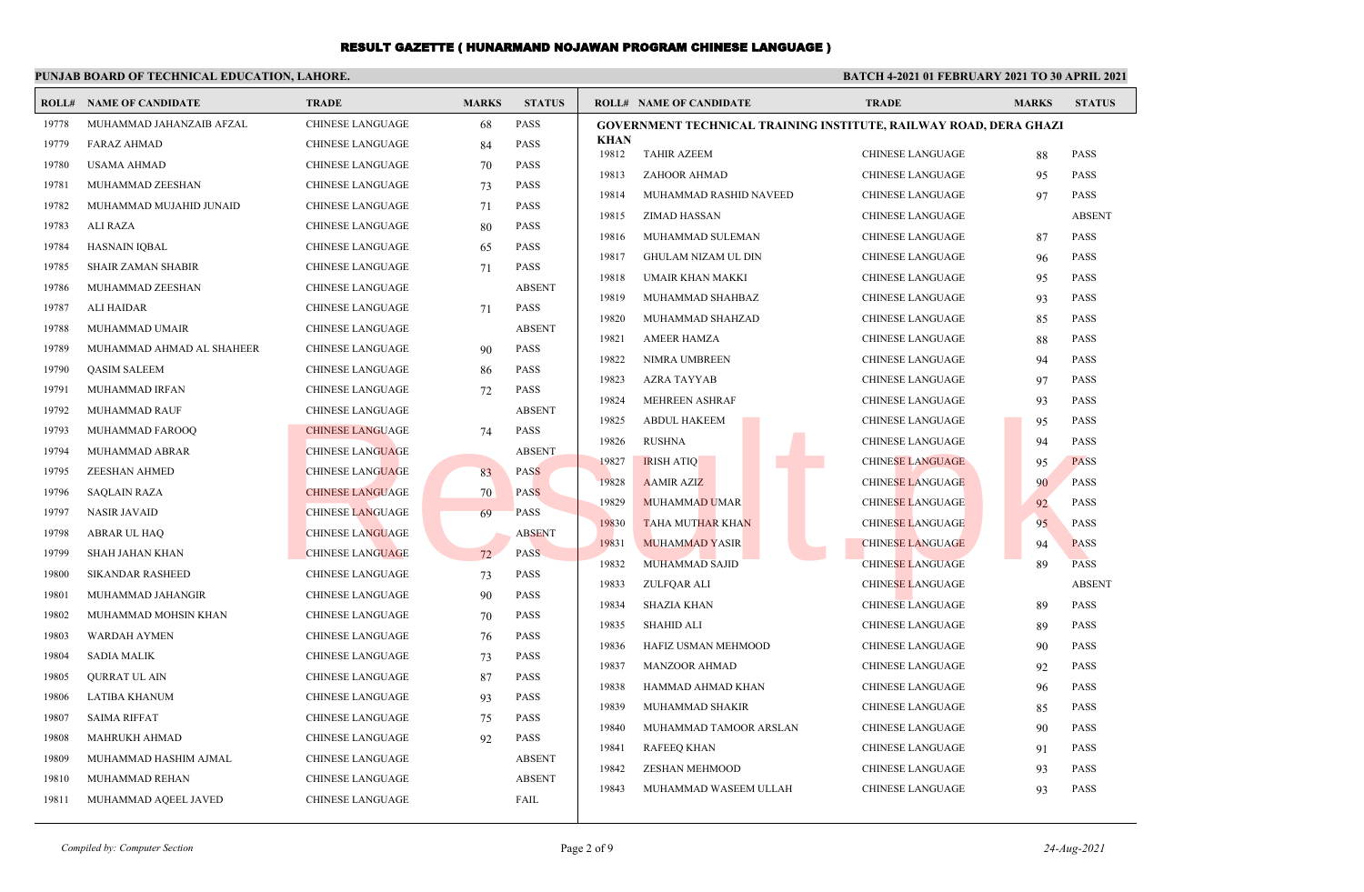|       | PUNJAB BOARD OF TECHNICAL EDUCATION, LAHORE. |                         |              |               | <b>BATCH 4-2021 01 FEBRUARY 2021 TO 30 APRIL 2021</b>             |                         |              |                            |  |
|-------|----------------------------------------------|-------------------------|--------------|---------------|-------------------------------------------------------------------|-------------------------|--------------|----------------------------|--|
|       | <b>ROLL# NAME OF CANDIDATE</b>               | <b>TRADE</b>            | <b>MARKS</b> | <b>STATUS</b> | <b>ROLL# NAME OF CANDIDATE</b>                                    | <b>TRADE</b>            | <b>MARKS</b> | <b>STATUS</b>              |  |
| 19778 | MUHAMMAD JAHANZAIB AFZAL                     | <b>CHINESE LANGUAGE</b> | 68           | PASS          | GOVERNMENT TECHNICAL TRAINING INSTITUTE, RAILWAY ROAD, DERA GHAZI |                         |              |                            |  |
| 19779 | <b>FARAZ AHMAD</b>                           | <b>CHINESE LANGUAGE</b> | 84           | <b>PASS</b>   | <b>KHAN</b><br>19812<br><b>TAHIR AZEEM</b>                        | <b>CHINESE LANGUAGE</b> |              | <b>PASS</b>                |  |
| 19780 | <b>USAMA AHMAD</b>                           | <b>CHINESE LANGUAGE</b> | 70           | PASS          |                                                                   |                         | 88           |                            |  |
| 19781 | MUHAMMAD ZEESHAN                             | <b>CHINESE LANGUAGE</b> | 73           | <b>PASS</b>   | 19813<br>ZAHOOR AHMAD<br>19814<br>MUHAMMAD RASHID NAVEED          | CHINESE LANGUAGE        | 95           | <b>PASS</b><br><b>PASS</b> |  |
| 19782 | MUHAMMAD MUJAHID JUNAID                      | <b>CHINESE LANGUAGE</b> | 71           | <b>PASS</b>   |                                                                   | <b>CHINESE LANGUAGE</b> | 97           |                            |  |
| 19783 | ALI RAZA                                     | <b>CHINESE LANGUAGE</b> | 80           | <b>PASS</b>   | 19815<br>ZIMAD HASSAN                                             | <b>CHINESE LANGUAGE</b> |              | <b>ABSENT</b>              |  |
| 19784 | <b>HASNAIN IQBAL</b>                         | <b>CHINESE LANGUAGE</b> | 65           | PASS          | 19816<br>MUHAMMAD SULEMAN                                         | CHINESE LANGUAGE        | 87           | <b>PASS</b>                |  |
| 19785 | <b>SHAIR ZAMAN SHABIR</b>                    | <b>CHINESE LANGUAGE</b> | 71           | <b>PASS</b>   | 19817<br>GHULAM NIZAM UL DIN                                      | CHINESE LANGUAGE        | 96           | <b>PASS</b>                |  |
| 19786 | MUHAMMAD ZEESHAN                             | <b>CHINESE LANGUAGE</b> |              | <b>ABSENT</b> | 19818<br>UMAIR KHAN MAKKI                                         | <b>CHINESE LANGUAGE</b> | 95           | PASS                       |  |
| 19787 | ALI HAIDAR                                   | <b>CHINESE LANGUAGE</b> | 71           | <b>PASS</b>   | 19819<br>MUHAMMAD SHAHBAZ                                         | <b>CHINESE LANGUAGE</b> | 93           | <b>PASS</b>                |  |
| 19788 | MUHAMMAD UMAIR                               | <b>CHINESE LANGUAGE</b> |              | <b>ABSENT</b> | 19820<br>MUHAMMAD SHAHZAD                                         | <b>CHINESE LANGUAGE</b> | 85           | <b>PASS</b>                |  |
| 19789 | MUHAMMAD AHMAD AL SHAHEER                    | <b>CHINESE LANGUAGE</b> | 90           | <b>PASS</b>   | 19821<br><b>AMEER HAMZA</b>                                       | <b>CHINESE LANGUAGE</b> | 88           | PASS                       |  |
| 19790 | <b>OASIM SALEEM</b>                          | <b>CHINESE LANGUAGE</b> | 86           | <b>PASS</b>   | 19822<br>NIMRA UMBREEN                                            | <b>CHINESE LANGUAGE</b> | 94           | PASS                       |  |
| 19791 | MUHAMMAD IRFAN                               | <b>CHINESE LANGUAGE</b> | 72           | <b>PASS</b>   | 19823<br><b>AZRA TAYYAB</b>                                       | <b>CHINESE LANGUAGE</b> | 97           | <b>PASS</b>                |  |
| 19792 | <b>MUHAMMAD RAUF</b>                         | <b>CHINESE LANGUAGE</b> |              | <b>ABSENT</b> | 19824<br>MEHREEN ASHRAF                                           | CHINESE LANGUAGE        | 93           | <b>PASS</b>                |  |
| 19793 | MUHAMMAD FAROOO                              | <b>CHINESE LANGUAGE</b> | 74           | <b>PASS</b>   | 19825<br><b>ABDUL HAKEEM</b>                                      | CHINESE LANGUAGE        | 95           | <b>PASS</b>                |  |
| 19794 | MUHAMMAD ABRAR                               | <b>CHINESE LANGUAGE</b> |              | <b>ABSENT</b> | 19826<br><b>RUSHNA</b>                                            | CHINESE LANGUAGE        | 94           | <b>PASS</b>                |  |
| 19795 | <b>ZEESHAN AHMED</b>                         | <b>CHINESE LANGUAGE</b> | 83           | <b>PASS</b>   | 19827<br><b>IRISH ATIQ</b>                                        | <b>CHINESE LANGUAGE</b> | 95           | <b>PASS</b>                |  |
| 19796 | <b>SAQLAIN RAZA</b>                          | <b>CHINESE LANGUAGE</b> | 70           | <b>PASS</b>   | 19828<br><b>AAMIR AZIZ</b>                                        | <b>CHINESE LANGUAGE</b> | 90           | <b>PASS</b>                |  |
| 19797 | <b>NASIR JAVAID</b>                          | <b>CHINESE LANGUAGE</b> | 69           | <b>PASS</b>   | 19829<br><b>MUHAMMAD UMAR</b>                                     | <b>CHINESE LANGUAGE</b> | 92           | <b>PASS</b>                |  |
| 19798 | <b>ABRAR UL HAO</b>                          | <b>CHINESE LANGUAGE</b> |              | <b>ABSENT</b> | 19830<br><b>TAHA MUTHAR KHAN</b>                                  | <b>CHINESE LANGUAGE</b> | 95           | <b>PASS</b>                |  |
| 19799 | SHAH JAHAN KHAN                              | <b>CHINESE LANGUAGE</b> | 72           | <b>PASS</b>   | 19831<br><b>MUHAMMAD YASIR</b>                                    | <b>CHINESE LANGUAGE</b> | 94           | <b>PASS</b>                |  |
| 19800 | <b>SIKANDAR RASHEED</b>                      | <b>CHINESE LANGUAGE</b> | 73           | <b>PASS</b>   | 19832<br>MUHAMMAD SAJID                                           | <b>CHINESE LANGUAGE</b> | 89           | <b>PASS</b>                |  |
| 19801 | MUHAMMAD JAHANGIR                            | <b>CHINESE LANGUAGE</b> | 90           | <b>PASS</b>   | 19833<br>ZULFQAR ALI                                              | <b>CHINESE LANGUAGE</b> |              | <b>ABSENT</b>              |  |
| 19802 | MUHAMMAD MOHSIN KHAN                         | <b>CHINESE LANGUAGE</b> | 70           | <b>PASS</b>   | 19834<br><b>SHAZIA KHAN</b>                                       | <b>CHINESE LANGUAGE</b> | 89           | PASS                       |  |
| 19803 | <b>WARDAH AYMEN</b>                          | <b>CHINESE LANGUAGE</b> | 76           | <b>PASS</b>   | 19835<br><b>SHAHID ALI</b>                                        | <b>CHINESE LANGUAGE</b> | 89           | <b>PASS</b>                |  |
| 19804 | <b>SADIA MALIK</b>                           | CHINESE LANGUAGE        | 73           | <b>PASS</b>   | 19836<br>HAFIZ USMAN MEHMOOD                                      | <b>CHINESE LANGUAGE</b> | 90           | <b>PASS</b>                |  |
| 19805 | <b>OURRAT UL AIN</b>                         | CHINESE LANGUAGE        | 87           | PASS          | 19837<br><b>MANZOOR AHMAD</b>                                     | CHINESE LANGUAGE        | 92           | <b>PASS</b>                |  |
| 19806 | LATIBA KHANUM                                | <b>CHINESE LANGUAGE</b> | 93           | <b>PASS</b>   | 19838<br>HAMMAD AHMAD KHAN                                        | <b>CHINESE LANGUAGE</b> | 96           | <b>PASS</b>                |  |
| 19807 | <b>SAIMA RIFFAT</b>                          | <b>CHINESE LANGUAGE</b> | 75           | <b>PASS</b>   | 19839<br>MUHAMMAD SHAKIR                                          | CHINESE LANGUAGE        | 85           | <b>PASS</b>                |  |
| 19808 | MAHRUKH AHMAD                                | CHINESE LANGUAGE        | 92           | <b>PASS</b>   | 19840<br>MUHAMMAD TAMOOR ARSLAN                                   | <b>CHINESE LANGUAGE</b> | 90           | <b>PASS</b>                |  |
| 19809 | MUHAMMAD HASHIM AJMAL                        | <b>CHINESE LANGUAGE</b> |              | <b>ABSENT</b> | 19841<br><b>RAFEEQ KHAN</b>                                       | CHINESE LANGUAGE        | 91           | <b>PASS</b>                |  |
| 19810 | MUHAMMAD REHAN                               | <b>CHINESE LANGUAGE</b> |              | <b>ABSENT</b> | 19842<br><b>ZESHAN MEHMOOD</b>                                    | CHINESE LANGUAGE        | 93           | <b>PASS</b>                |  |
| 19811 | MUHAMMAD AQEEL JAVED                         | <b>CHINESE LANGUAGE</b> |              | FAIL          | 19843<br>MUHAMMAD WASEEM ULLAH                                    | <b>CHINESE LANGUAGE</b> | 93           | <b>PASS</b>                |  |
|       |                                              |                         |              |               |                                                                   |                         |              |                            |  |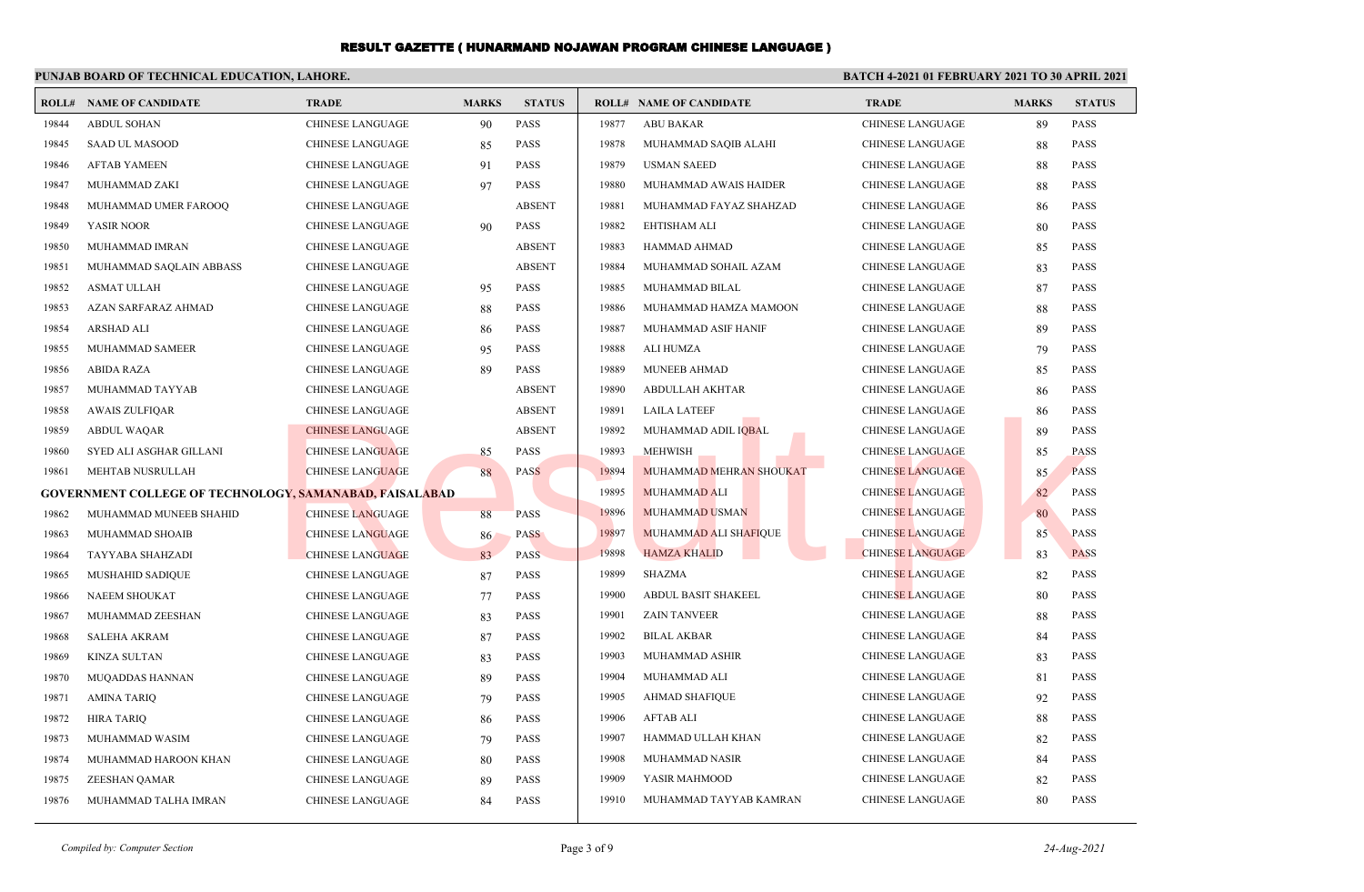#### **PUNJAB BOARD OF TECHNICAL EDUCATION, LAHORE. BATCH 4-2021 01 FEBRUARY 2021 TO 30 APRIL 2021 ROLL# NAME OF CANDIDATE TRADE MARKS STATUS ROLL# NAME OF CANDIDATE TRADE MARKS STATUS** 19844 ABDUL SOHAN CHINESE LANGUAGE 90 PASS 19845 SAAD UL MASOOD CHINESE LANGUAGE 85 PASS 19846 AFTAB YAMEEN CHINESE LANGUAGE 91 PASS 19847 MUHAMMAD ZAKI CHINESE LANGUAGE 97 PASS 19848 MUHAMMAD UMER FAROOQ CHINESE LANGUAGE ABSENT 19849 YASIR NOOR CHINESE LANGUAGE 90 PASS 19850 MUHAMMAD IMRAN CHINESE LANGUAGE ABSENT 19851 MUHAMMAD SAQLAIN ABBASS CHINESE LANGUAGE ABSENT 19852 ASMAT ULLAH CHINESE LANGUAGE 95 PASS 19853 AZAN SARFARAZ AHMAD CHINESE LANGUAGE 88 PASS 19854 ARSHAD ALI CHINESE LANGUAGE 86 PASS 19855 MUHAMMAD SAMEER CHINESE LANGUAGE 95 PASS 19856 ABIDA RAZA CHINESE LANGUAGE 89 PASS 19857 MUHAMMAD TAYYAB CHINESE LANGUAGE ABSENT 19858 AWAIS ZULFIQAR CHINESE LANGUAGE ABSENT 19859 ABDUL WAQAR CHINESE LANGUAGE ABSENT 19860 SYED ALI ASGHAR GILLANI CHINESE LANGUAGE 85 PASS 19861 MEHTAB NUSRULLAH CHINESE LANGUAGE 88 PASS **GOVERNMENT COLLEGE OF TECHNOLOGY, SAMANABAD, FAISALABAD** 19862 MUHAMMAD MUNEEB SHAHID CHINESE LANGUAGE 88 PASS 19863 MUHAMMAD SHOAIB CHINESE LANGUAGE 86 PASS 19864 TAYYABA SHAHZADI CHINESE LANGUAGE 83 PASS 19865 MUSHAHID SADIQUE CHINESE LANGUAGE 87 PASS 19866 NAEEM SHOUKAT CHINESE LANGUAGE 77 PASS 19867 MUHAMMAD ZEESHAN CHINESE LANGUAGE 83 PASS 19868 SALEHA AKRAM CHINESE LANGUAGE 87 PASS 19869 KINZA SULTAN CHINESE LANGUAGE 83 PASS 19870 MUQADDAS HANNAN CHINESE LANGUAGE 89 PASS 19871 AMINA TARIQ CHINESE LANGUAGE 79 PASS 19872 HIRA TARIQ CHINESE LANGUAGE 86 PASS 19873 MUHAMMAD WASIM CHINESE LANGUAGE 79 PASS 19874 MUHAMMAD HAROON KHAN CHINESE LANGUAGE 80 PASS 19875 ZEESHAN QAMAR CHINESE LANGUAGE 89 PASS 19876 MUHAMMAD TALHA IMRAN CHINESE LANGUAGE 84 PASS 19877 ABU BAKAR CHINESE LANGUAGE 89 PASS 19878 MUHAMMAD SAQIB ALAHI CHINESE LANGUAGE 88 PASS 19879 USMAN SAEED CHINESE LANGUAGE 88 PASS 19880 MUHAMMAD AWAIS HAIDER CHINESE LANGUAGE 88 PASS 19881 MUHAMMAD FAYAZ SHAHZAD CHINESE LANGUAGE 86 PASS 19882 EHTISHAM ALI CHINESE LANGUAGE 80 PASS 19883 HAMMAD AHMAD CHINESE LANGUAGE 85 PASS 19884 MUHAMMAD SOHAIL AZAM CHINESE LANGUAGE 83 PASS 19885 MUHAMMAD BILAL CHINESE LANGUAGE 87 PASS 19886 MUHAMMAD HAMZA MAMOON CHINESE LANGUAGE 88 PASS 19887 MUHAMMAD ASIF HANIF CHINESE LANGUAGE 89 PASS 19888 ALI HUMZA CHINESE LANGUAGE 79 PASS 19889 MUNEEB AHMAD CHINESE LANGUAGE 85 PASS 19890 ABDULLAH AKHTAR CHINESE LANGUAGE 86 PASS 19891 LAILA LATEEF CHINESE LANGUAGE 86 PASS 19892 MUHAMMAD ADIL IQBAL CHINESE LANGUAGE 89 PASS 19893 MEHWISH CHINESE LANGUAGE 85 PASS 19894 MUHAMMAD MEHRAN SHOUKAT CHINESE LANGUAGE 85 PASS 19895 MUHAMMAD ALI CHINESE LANGUAGE 82 PASS 19896 MUHAMMAD USMAN CHINESE LANGUAGE 80 PASS 19897 MUHAMMAD ALI SHAFIQUE CHINESE LANGUAGE 85 PASS 19898 HAMZA KHALID CHINESE LANGUAGE 83 PASS 19899 SHAZMA CHINESE LANGUAGE 82 PASS 19900 ABDUL BASIT SHAKEEL CHINESE LANGUAGE 80 PASS 19901 ZAIN TANVEER CHINESE LANGUAGE 88 PASS 19902 BILAL AKBAR CHINESE LANGUAGE 84 PASS 19903 MUHAMMAD ASHIR CHINESE LANGUAGE 83 PASS 19904 MUHAMMAD ALI CHINESE LANGUAGE 81 PASS 19905 AHMAD SHAFIQUE CHINESE LANGUAGE 92 PASS 19906 AFTAB ALI CHINESE LANGUAGE 88 PASS 19907 HAMMAD ULLAH KHAN CHINESE LANGUAGE 82 PASS 19908 MUHAMMAD NASIR CHINESE LANGUAGE 84 PASS 19909 YASIR MAHMOOD CHINESE LANGUAGE 82 PASS 19910 MUHAMMAD TAYYAB KAMRAN CHINESE LANGUAGE 80 PASS CHINESE LANGUAGE<br>
CHINESE LANGUAGE<br>
CHINESE LANGUAGE<br>
CHINESE LANGUAGE<br>
CHINESE LANGUAGE<br>
CHINESE LANGUAGE<br>
CHINESE LANGUAGE<br>
CHINESE LANGUAGE<br>
CHINESE LANGUAGE<br>
CHINESE LANGUAGE<br>
CHINESE LANGUAGE<br>
CHINESE LANGUAGE<br>
CHINES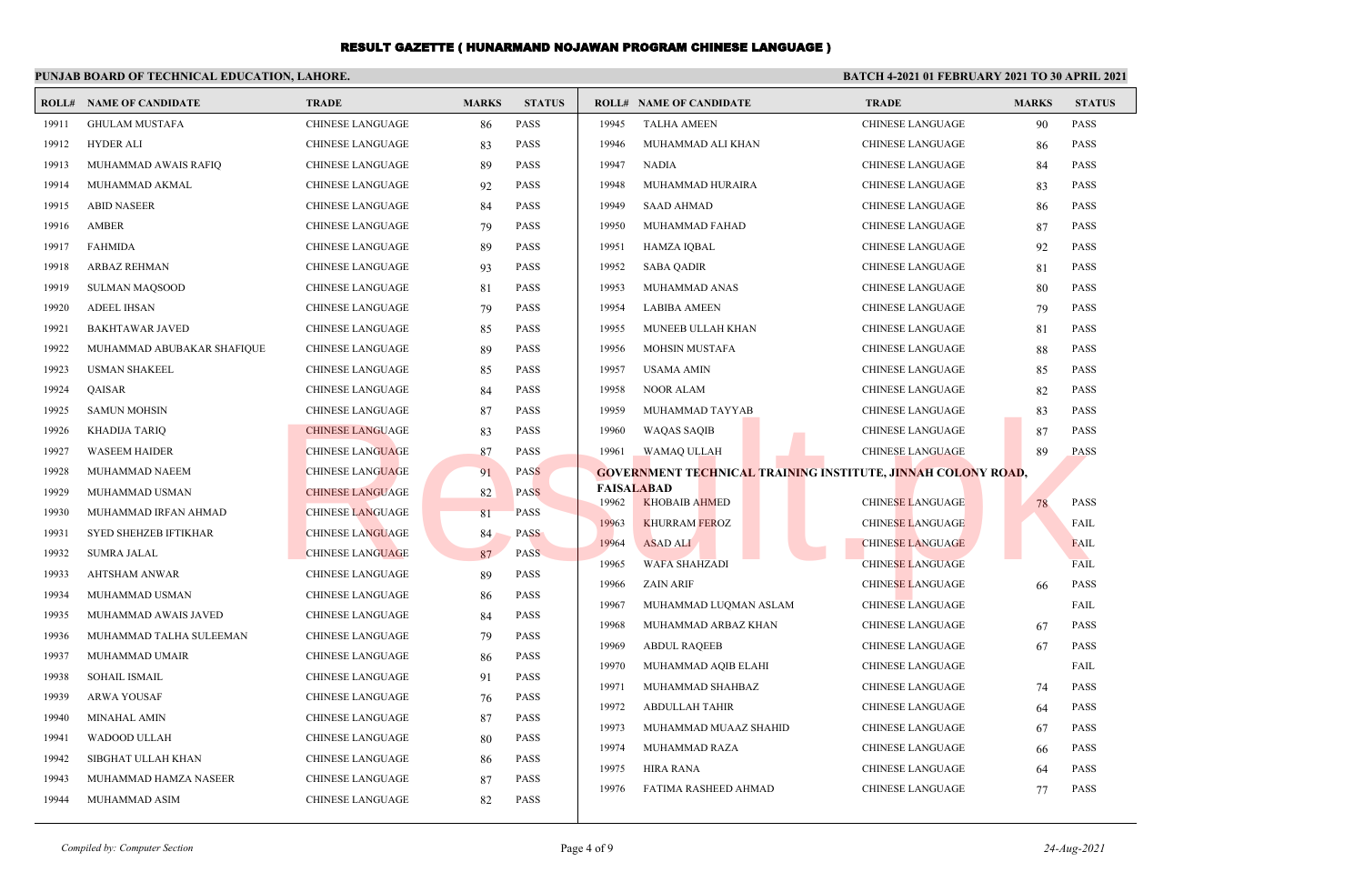#### **PUNJAB BOARD OF TECHNICAL EDUCATION, LAHORE. BATCH 4-2021 01 FEBRUARY 2021 TO 30 APRIL 2021 ROLL# NAME OF CANDIDATE TRADE MARKS STATUS ROLL# NAME OF CANDIDATE TRADE MARKS STATUS** 19911 GHULAM MUSTAFA CHINESE LANGUAGE 86 PASS 19912 HYDER ALI CHINESE LANGUAGE 83 PASS 19913 MUHAMMAD AWAIS RAFIQ CHINESE LANGUAGE 89 PASS 19914 MUHAMMAD AKMAL CHINESE LANGUAGE 92 PASS 19915 ABID NASEER CHINESE LANGUAGE 84 PASS 19916 AMBER CHINESE LANGUAGE 79 PASS 19917 FAHMIDA CHINESE LANGUAGE 89 PASS 19918 ARBAZ REHMAN CHINESE LANGUAGE 93 PASS 19919 SULMAN MAQSOOD CHINESE LANGUAGE 81 PASS 19920 ADEEL IHSAN CHINESE LANGUAGE 79 PASS 19921 BAKHTAWAR JAVED CHINESE LANGUAGE 85 PASS 19922 MUHAMMAD ABUBAKAR SHAFIQUE CHINESE LANGUAGE 89 PASS 19923 USMAN SHAKEEL CHINESE LANGUAGE 85 PASS 19924 QAISAR CHINESE LANGUAGE 84 PASS 19925 SAMUN MOHSIN CHINESE LANGUAGE 87 PASS 19926 KHADIJA TARIQ CHINESE LANGUAGE 83 PASS 19927 WASEEM HAIDER CHINESE LANGUAGE 87 PASS 19928 MUHAMMAD NAEEM CHINESE LANGUAGE 91 PASS 19929 MUHAMMAD USMAN CHINESE LANGUAGE 82 PASS 19930 MUHAMMAD IRFAN AHMAD CHINESE LANGUAGE 81 PASS 19931 SYED SHEHZEB IFTIKHAR CHINESE LANGUAGE 84 PASS 19932 SUMRA JALAL CHINESE LANGUAGE 87 PASS 19933 AHTSHAM ANWAR CHINESE LANGUAGE 89 PASS 19934 MUHAMMAD USMAN CHINESE LANGUAGE 86 PASS 19935 MUHAMMAD AWAIS JAVED CHINESE LANGUAGE 84 PASS 19936 MUHAMMAD TALHA SULEEMAN CHINESE LANGUAGE 79 PASS 19937 MUHAMMAD UMAIR CHINESE LANGUAGE 86 PASS 19938 SOHAIL ISMAIL CHINESE LANGUAGE 91 PASS 19939 ARWA YOUSAF CHINESE LANGUAGE 76 PASS 19940 MINAHAL AMIN CHINESE LANGUAGE 87 PASS 19941 WADOOD ULLAH CHINESE LANGUAGE 80 PASS 19942 SIBGHAT ULLAH KHAN CHINESE LANGUAGE 86 PASS 19943 MUHAMMAD HAMZA NASEER CHINESE LANGUAGE 87 PASS 19944 MUHAMMAD ASIM CHINESE LANGUAGE 82 PASS 19945 TALHA AMEEN CHINESE LANGUAGE 90 PASS 19946 MUHAMMAD ALI KHAN CHINESE LANGUAGE 86 PASS 19947 NADIA 2001 - CHINESE LANGUAGE 84 PASS 19948 MUHAMMAD HURAIRA CHINESE LANGUAGE 83 PASS 19949 SAAD AHMAD CHINESE LANGUAGE 86 PASS 19950 MUHAMMAD FAHAD CHINESE LANGUAGE 87 PASS 19951 HAMZA IQBAL CHINESE LANGUAGE 92 PASS 19952 SABA QADIR CHINESE LANGUAGE 81 PASS 19953 MUHAMMAD ANAS CHINESE LANGUAGE 80 PASS 19954 LABIBA AMEEN CHINESE LANGUAGE 79 PASS 19955 MUNEEB ULLAH KHAN CHINESE LANGUAGE 81 PASS 19956 MOHSIN MUSTAFA CHINESE LANGUAGE 88 PASS 19957 USAMA AMIN CHINESE LANGUAGE 85 PASS 19958 NOOR ALAM CHINESE LANGUAGE 82 PASS 19959 MUHAMMAD TAYYAB CHINESE LANGUAGE 83 PASS 19960 WAQAS SAQIB CHINESE LANGUAGE 87 PASS 19961 WAMAQ ULLAH CHINESE LANGUAGE 89 PASS **GOVERNMENT TECHNICAL TRAINING INSTITUTE, JINNAH COLONY ROAD, FAISALABAD** 19962 KHOBAIB AHMED CHINESE LANGUAGE 78 PASS 19963 KHURRAM FEROZ CHINESE LANGUAGE FAIL 19964 ASAD ALI CHINESE LANGUAGE FAIL 19965 WAFA SHAHZADI CHINESE LANGUAGE FAIL 19966 ZAIN ARIF CHINESE LANGUAGE 66 PASS 19967 MUHAMMAD LUQMAN ASLAM CHINESE LANGUAGE FAIL 19968 MUHAMMAD ARBAZ KHAN CHINESE LANGUAGE 67 PASS 19969 ABDUL RAQEEB CHINESE LANGUAGE 67 PASS 19970 MUHAMMAD AQIB ELAHI CHINESE LANGUAGE FAIL 19971 MUHAMMAD SHAHBAZ CHINESE LANGUAGE 74 PASS 19972 ABDULLAH TAHIR CHINESE LANGUAGE 64 PASS 19973 MUHAMMAD MUAAZ SHAHID CHINESE LANGUAGE 67 PASS 19974 MUHAMMAD RAZA CHINESE LANGUAGE 66 PASS 19975 HIRA RANA CHINESE LANGUAGE 64 PASS 19976 FATIMA RASHEED AHMAD CHINESE LANGUAGE 77 PASS CHINESE LANGUAGE<br>
CHINESE LANGUAGE<br>
CHINESE LANGUAGE<br>
CHINESE LANGUAGE<br>
CHINESE LANGUAGE<br>
CHINESE LANGUAGE<br>
CHINESE LANGUAGE<br>
CHINESE LANGUAGE<br>
CHINESE LANGUAGE<br>
CHINESE LANGUAGE<br>
CHINESE LANGUAGE<br>
CHINESE LANGUAGE<br>
CHINES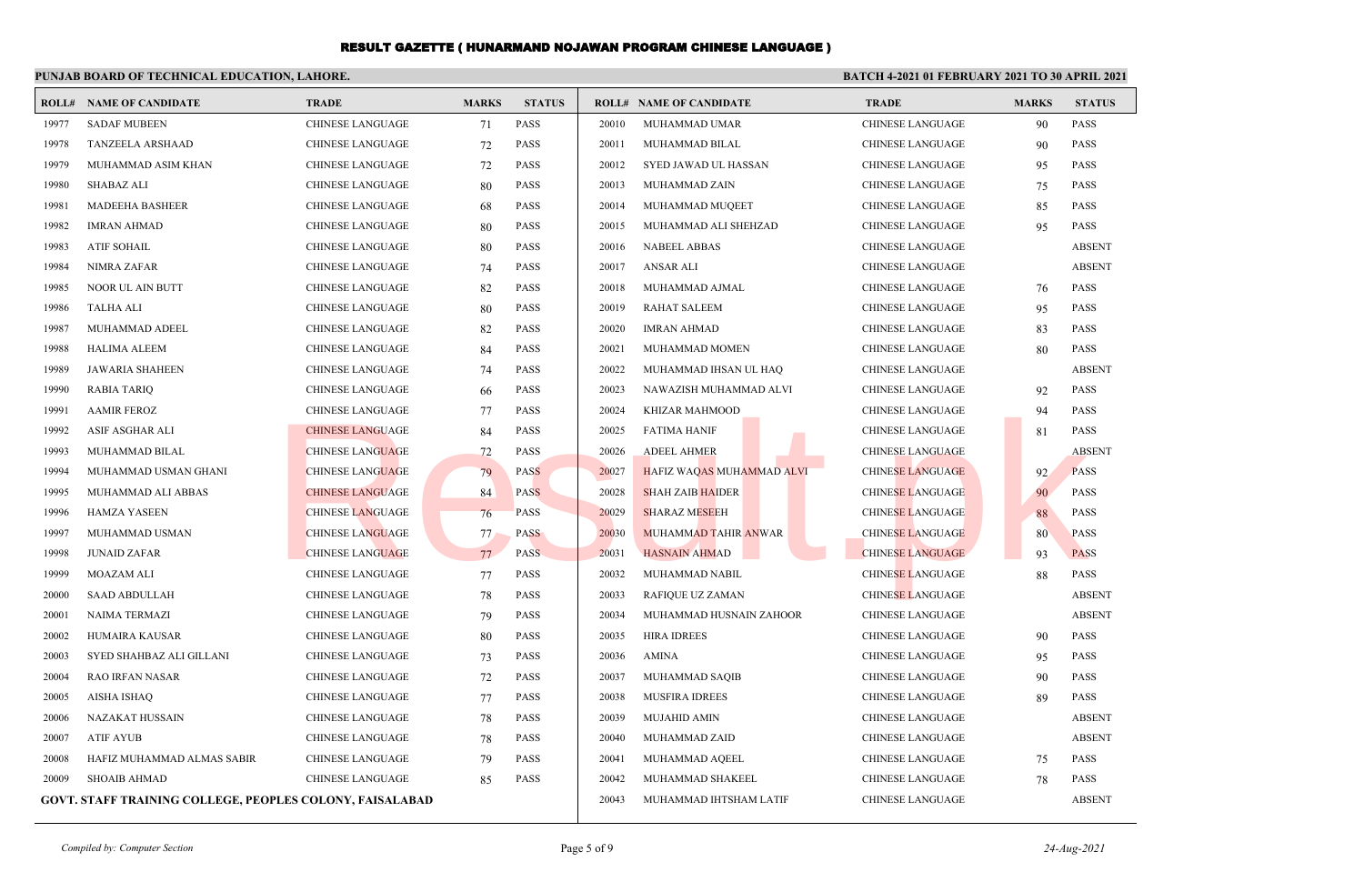| PUNJAB BOARD OF TECHNICAL EDUCATION, LAHORE. |                                                                 |                         |              |                        |                  | <b>BATCH 4-2021 01 FEBRUARY 2021 TO 30 APRIL 2021</b> |                         |              |               |
|----------------------------------------------|-----------------------------------------------------------------|-------------------------|--------------|------------------------|------------------|-------------------------------------------------------|-------------------------|--------------|---------------|
|                                              | <b>ROLL# NAME OF CANDIDATE</b>                                  | <b>TRADE</b>            | <b>MARKS</b> | <b>STATUS</b>          |                  | <b>ROLL# NAME OF CANDIDATE</b>                        | <b>TRADE</b>            | <b>MARKS</b> | <b>STATUS</b> |
| 19977                                        | <b>SADAF MUBEEN</b>                                             | <b>CHINESE LANGUAGE</b> | 71           | <b>PASS</b>            | 20010            | MUHAMMAD UMAR                                         | <b>CHINESE LANGUAGE</b> | 90           | <b>PASS</b>   |
| 19978                                        | <b>TANZEELA ARSHAAD</b>                                         | CHINESE LANGUAGE        | 72           | <b>PASS</b>            | 20011            | MUHAMMAD BILAL                                        | CHINESE LANGUAGE        | 90           | <b>PASS</b>   |
| 19979                                        | MUHAMMAD ASIM KHAN                                              | <b>CHINESE LANGUAGE</b> | 72           | <b>PASS</b>            | 20012            | SYED JAWAD UL HASSAN                                  | <b>CHINESE LANGUAGE</b> | 95           | <b>PASS</b>   |
| 19980                                        | <b>SHABAZ ALI</b>                                               | CHINESE LANGUAGE        | 80           | <b>PASS</b>            | 20013            | MUHAMMAD ZAIN                                         | CHINESE LANGUAGE        | 75           | <b>PASS</b>   |
| 19981                                        | MADEEHA BASHEER                                                 | CHINESE LANGUAGE        | 68           | <b>PASS</b>            | 20014            | MUHAMMAD MUQEET                                       | CHINESE LANGUAGE        | 85           | <b>PASS</b>   |
| 19982                                        | <b>IMRAN AHMAD</b>                                              | <b>CHINESE LANGUAGE</b> | 80           | <b>PASS</b>            | 20015            | MUHAMMAD ALI SHEHZAD                                  | <b>CHINESE LANGUAGE</b> | 95           | <b>PASS</b>   |
| 19983                                        | <b>ATIF SOHAIL</b>                                              | <b>CHINESE LANGUAGE</b> | 80           | <b>PASS</b>            | 20016            | <b>NABEEL ABBAS</b>                                   | <b>CHINESE LANGUAGE</b> |              | <b>ABSENT</b> |
| 19984                                        | NIMRA ZAFAR                                                     | CHINESE LANGUAGE        | 74           | PASS                   | 20017            | ANSAR ALI                                             | CHINESE LANGUAGE        |              | <b>ABSENT</b> |
| 19985                                        | NOOR UL AIN BUTT                                                | <b>CHINESE LANGUAGE</b> | 82           | <b>PASS</b>            | 20018            | MUHAMMAD AJMAL                                        | <b>CHINESE LANGUAGE</b> | 76           | <b>PASS</b>   |
| 19986                                        | <b>TALHA ALI</b>                                                | CHINESE LANGUAGE        | 80           | <b>PASS</b>            | 20019            | <b>RAHAT SALEEM</b>                                   | CHINESE LANGUAGE        | 95           | <b>PASS</b>   |
| 19987                                        | MUHAMMAD ADEEL                                                  | <b>CHINESE LANGUAGE</b> | 82           | <b>PASS</b>            | 20020            | IMRAN AHMAD                                           | <b>CHINESE LANGUAGE</b> | 83           | <b>PASS</b>   |
| 19988                                        | <b>HALIMA ALEEM</b>                                             | CHINESE LANGUAGE        | 84           | <b>PASS</b>            | 20021            | MUHAMMAD MOMEN                                        | <b>CHINESE LANGUAGE</b> | 80           | <b>PASS</b>   |
| 19989                                        | JAWARIA SHAHEEN                                                 | <b>CHINESE LANGUAGE</b> | 74           | <b>PASS</b>            | 20022            | MUHAMMAD IHSAN UL HAQ                                 | <b>CHINESE LANGUAGE</b> |              | <b>ABSENT</b> |
| 19990                                        | <b>RABIA TARIQ</b>                                              | CHINESE LANGUAGE        | 66           | <b>PASS</b>            | 20023            | NAWAZISH MUHAMMAD ALVI                                | CHINESE LANGUAGE        | 92           | <b>PASS</b>   |
| 19991                                        | <b>AAMIR FEROZ</b>                                              | <b>CHINESE LANGUAGE</b> | 77           | <b>PASS</b>            | 20024            | KHIZAR MAHMOOD                                        | <b>CHINESE LANGUAGE</b> | 94           | <b>PASS</b>   |
| 19992                                        | ASIF ASGHAR ALI                                                 | <b>CHINESE LANGUAGE</b> | 84           | <b>PASS</b>            | 20025            | <b>FATIMA HANIF</b>                                   | CHINESE LANGUAGE        | 81           | <b>PASS</b>   |
| 19993                                        | MUHAMMAD BILAL                                                  | <b>CHINESE LANGUAGE</b> | 72           | <b>PASS</b>            | 20026            | <b>ADEEL AHMER</b>                                    | <b>CHINESE LANGUAGE</b> |              | <b>ABSENT</b> |
| 19994                                        | MUHAMMAD USMAN GHANI                                            | <b>CHINESE LANGUAGE</b> | 79           | <b>PASS</b>            | 20027            | HAFIZ WAQAS MUHAMMAD ALVI                             | <b>CHINESE LANGUAGE</b> | 92           | <b>PASS</b>   |
| 19995                                        | MUHAMMAD ALI ABBAS                                              | <b>CHINESE LANGUAGE</b> | 84           | <b>PASS</b>            | 20028            | <b>SHAH ZAIB HAIDER</b>                               | <b>CHINESE LANGUAGE</b> | 90           | <b>PASS</b>   |
| 19996                                        | <b>HAMZA YASEEN</b>                                             | <b>CHINESE LANGUAGE</b> | 76           | <b>PASS</b>            | 20029            | <b>SHARAZ MESEEH</b>                                  | <b>CHINESE LANGUAGE</b> | 88           | <b>PASS</b>   |
| 19997                                        | MUHAMMAD USMAN                                                  | <b>CHINESE LANGUAGE</b> | 77           | <b>PASS</b>            | 20030            | <b>MUHAMMAD TAHIR ANWAR</b>                           | <b>CHINESE LANGUAGE</b> | 80           | <b>PASS</b>   |
| 19998                                        | <b>JUNAID ZAFAR</b>                                             | <b>CHINESE LANGUAGE</b> | 77           | <b>PASS</b>            | 20031            | <b>HASNAIN AHMAD</b>                                  | <b>CHINESE LANGUAGE</b> | 93           | <b>PASS</b>   |
| 19999                                        | MOAZAM ALI                                                      | <b>CHINESE LANGUAGE</b> | 77           | <b>PASS</b>            | 20032            | MUHAMMAD NABIL                                        | <b>CHINESE LANGUAGE</b> | 88           | <b>PASS</b>   |
| 20000                                        | <b>SAAD ABDULLAH</b>                                            | <b>CHINESE LANGUAGE</b> | 78           | <b>PASS</b>            | 20033            | RAFIQUE UZ ZAMAN                                      | <b>CHINESE LANGUAGE</b> |              | <b>ABSENT</b> |
| 20001                                        | NAIMA TERMAZI                                                   | <b>CHINESE LANGUAGE</b> | 79           | <b>PASS</b>            | 20034            | MUHAMMAD HUSNAIN ZAHOOR                               | <b>CHINESE LANGUAGE</b> |              | <b>ABSENT</b> |
| 20002                                        | HUMAIRA KAUSAR                                                  | CHINESE LANGUAGE        | 80           | <b>PASS</b>            | 20035            | <b>HIRA IDREES</b>                                    | CHINESE LANGUAGE        | 90           | <b>PASS</b>   |
| 20003                                        | SYED SHAHBAZ ALI GILLANI                                        | <b>CHINESE LANGUAGE</b> | 73           | <b>PASS</b>            | 20036            | AMINA                                                 | <b>CHINESE LANGUAGE</b> | 95           | <b>PASS</b>   |
| 20004                                        | <b>RAO IRFAN NASAR</b>                                          | <b>CHINESE LANGUAGE</b> | 72           | <b>PASS</b>            | 20037            | MUHAMMAD SAQIB                                        | <b>CHINESE LANGUAGE</b> | 90           | <b>PASS</b>   |
| 20005                                        | AISHA ISHAQ                                                     | <b>CHINESE LANGUAGE</b> | 77           | <b>PASS</b>            | 20038            | <b>MUSFIRA IDREES</b>                                 | <b>CHINESE LANGUAGE</b> | 89           | <b>PASS</b>   |
| 20006                                        | NAZAKAT HUSSAIN                                                 | <b>CHINESE LANGUAGE</b> | 78           | <b>PASS</b>            | 20039            | <b>MUJAHID AMIN</b>                                   | CHINESE LANGUAGE        |              | <b>ABSENT</b> |
| 20007                                        | ATIF AYUB                                                       | <b>CHINESE LANGUAGE</b> | 78           | <b>PASS</b>            | 20040            | MUHAMMAD ZAID                                         | <b>CHINESE LANGUAGE</b> |              | <b>ABSENT</b> |
| 20008                                        | HAFIZ MUHAMMAD ALMAS SABIR                                      | <b>CHINESE LANGUAGE</b> | 79           | <b>PASS</b>            | 20041            | MUHAMMAD AQEEL                                        | CHINESE LANGUAGE        | 75           | <b>PASS</b>   |
| 20009                                        | <b>SHOAIB AHMAD</b>                                             | <b>CHINESE LANGUAGE</b> | 85           | <b>PASS</b>            | 20042            | MUHAMMAD SHAKEEL                                      | <b>CHINESE LANGUAGE</b> | 78           | <b>PASS</b>   |
|                                              | <b>GOVT. STAFF TRAINING COLLEGE, PEOPLES COLONY, FAISALABAD</b> |                         | 20043        | MUHAMMAD IHTSHAM LATIF | CHINESE LANGUAGE |                                                       | <b>ABSENT</b>           |              |               |
|                                              |                                                                 |                         |              |                        |                  |                                                       |                         |              |               |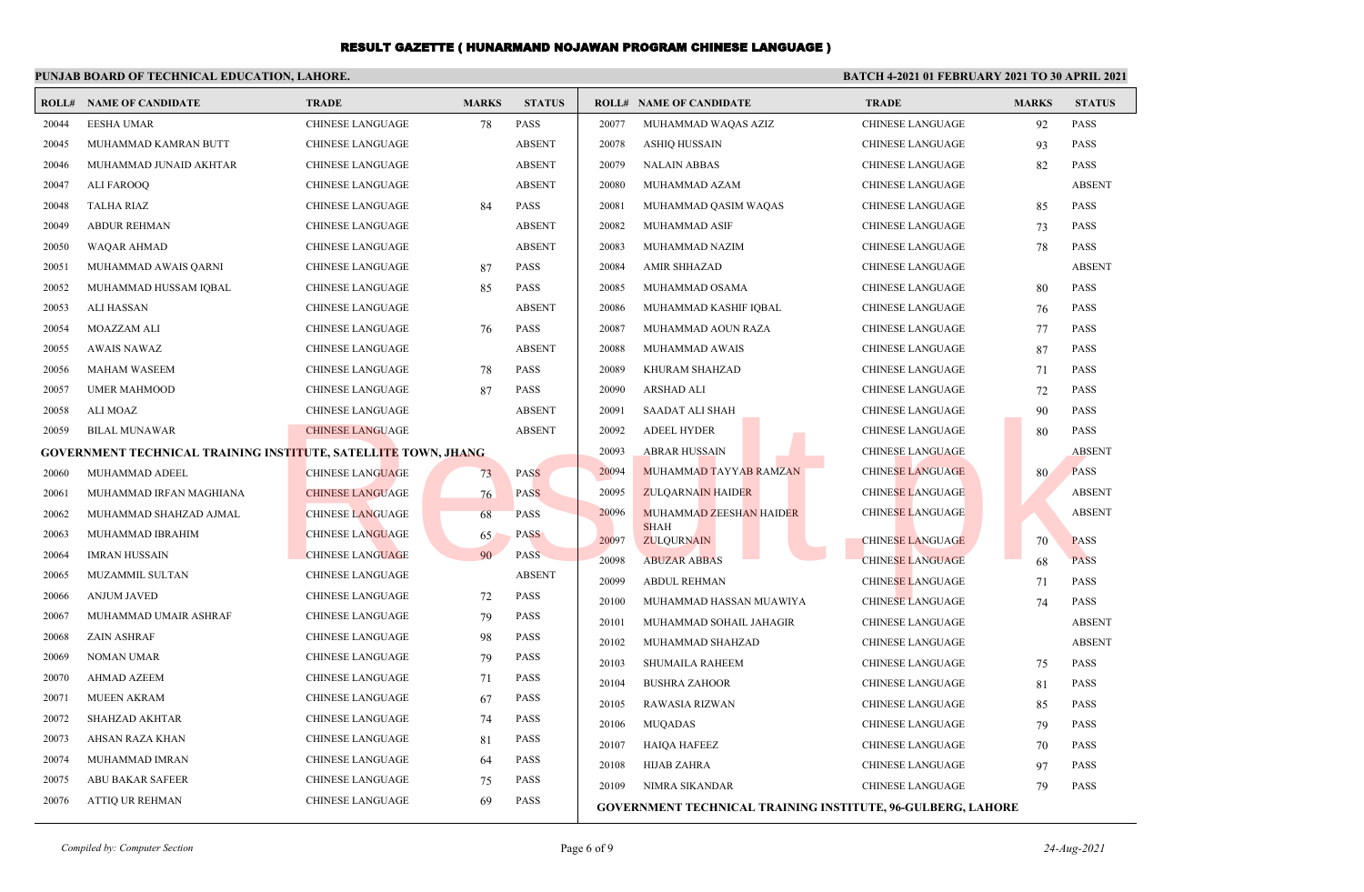|       | PUNJAB BOARD OF TECHNICAL EDUCATION, LAHORE.                          |                         |              |               | <b>BATCH 4-2021 01 FEBRUARY 2021 TO 30 APRIL 2021</b> |                                                                    |                         |              |               |
|-------|-----------------------------------------------------------------------|-------------------------|--------------|---------------|-------------------------------------------------------|--------------------------------------------------------------------|-------------------------|--------------|---------------|
|       | <b>ROLL# NAME OF CANDIDATE</b>                                        | <b>TRADE</b>            | <b>MARKS</b> | <b>STATUS</b> |                                                       | <b>ROLL# NAME OF CANDIDATE</b>                                     | <b>TRADE</b>            | <b>MARKS</b> | <b>STATUS</b> |
| 20044 | <b>EESHA UMAR</b>                                                     | CHINESE LANGUAGE        | 78           | PASS          | 20077                                                 | MUHAMMAD WAQAS AZIZ                                                | CHINESE LANGUAGE        | 92           | <b>PASS</b>   |
| 20045 | MUHAMMAD KAMRAN BUTT                                                  | <b>CHINESE LANGUAGE</b> |              | <b>ABSENT</b> | 20078                                                 | ASHIQ HUSSAIN                                                      | CHINESE LANGUAGE        | 93           | <b>PASS</b>   |
| 20046 | MUHAMMAD JUNAID AKHTAR                                                | <b>CHINESE LANGUAGE</b> |              | <b>ABSENT</b> | 20079                                                 | <b>NALAIN ABBAS</b>                                                | <b>CHINESE LANGUAGE</b> | 82           | <b>PASS</b>   |
| 20047 | ALI FAROOQ                                                            | <b>CHINESE LANGUAGE</b> |              | <b>ABSENT</b> | 20080                                                 | MUHAMMAD AZAM                                                      | CHINESE LANGUAGE        |              | <b>ABSENT</b> |
| 20048 | <b>TALHA RIAZ</b>                                                     | <b>CHINESE LANGUAGE</b> | 84           | <b>PASS</b>   | 20081                                                 | MUHAMMAD QASIM WAQAS                                               | CHINESE LANGUAGE        | 85           | <b>PASS</b>   |
| 20049 | <b>ABDUR REHMAN</b>                                                   | <b>CHINESE LANGUAGE</b> |              | <b>ABSENT</b> | 20082                                                 | MUHAMMAD ASIF                                                      | CHINESE LANGUAGE        | 73           | <b>PASS</b>   |
| 20050 | <b>WAQAR AHMAD</b>                                                    | <b>CHINESE LANGUAGE</b> |              | <b>ABSENT</b> | 20083                                                 | MUHAMMAD NAZIM                                                     | <b>CHINESE LANGUAGE</b> | 78           | <b>PASS</b>   |
| 20051 | MUHAMMAD AWAIS OARNI                                                  | <b>CHINESE LANGUAGE</b> | 87           | <b>PASS</b>   | 20084                                                 | <b>AMIR SHHAZAD</b>                                                | <b>CHINESE LANGUAGE</b> |              | <b>ABSENT</b> |
| 20052 | MUHAMMAD HUSSAM IQBAL                                                 | <b>CHINESE LANGUAGE</b> | 85           | <b>PASS</b>   | 20085                                                 | MUHAMMAD OSAMA                                                     | CHINESE LANGUAGE        | 80           | <b>PASS</b>   |
| 20053 | <b>ALI HASSAN</b>                                                     | <b>CHINESE LANGUAGE</b> |              | <b>ABSENT</b> | 20086                                                 | MUHAMMAD KASHIF IQBAL                                              | <b>CHINESE LANGUAGE</b> | 76           | PASS          |
| 20054 | MOAZZAM ALI                                                           | <b>CHINESE LANGUAGE</b> | 76           | <b>PASS</b>   | 20087                                                 | MUHAMMAD AOUN RAZA                                                 | <b>CHINESE LANGUAGE</b> | 77           | <b>PASS</b>   |
| 20055 | AWAIS NAWAZ                                                           | <b>CHINESE LANGUAGE</b> |              | <b>ABSENT</b> | 20088                                                 | MUHAMMAD AWAIS                                                     | <b>CHINESE LANGUAGE</b> | 87           | <b>PASS</b>   |
| 20056 | <b>MAHAM WASEEM</b>                                                   | <b>CHINESE LANGUAGE</b> | 78           | <b>PASS</b>   | 20089                                                 | KHURAM SHAHZAD                                                     | CHINESE LANGUAGE        | 71           | <b>PASS</b>   |
| 20057 | <b>UMER MAHMOOD</b>                                                   | <b>CHINESE LANGUAGE</b> | 87           | <b>PASS</b>   | 20090                                                 | <b>ARSHAD ALI</b>                                                  | CHINESE LANGUAGE        | 72           | <b>PASS</b>   |
| 20058 | ALI MOAZ                                                              | <b>CHINESE LANGUAGE</b> |              | <b>ABSENT</b> | 20091                                                 | SAADAT ALI SHAH                                                    | CHINESE LANGUAGE        | 90           | <b>PASS</b>   |
| 20059 | <b>BILAL MUNAWAR</b>                                                  | <b>CHINESE LANGUAGE</b> |              | <b>ABSENT</b> | 20092                                                 | <b>ADEEL HYDER</b>                                                 | <b>CHINESE LANGUAGE</b> | 80           | <b>PASS</b>   |
|       | <b>GOVERNMENT TECHNICAL TRAINING INSTITUTE, SATELLITE TOWN, JHANG</b> |                         |              |               | 20093                                                 | <b>ABRAR HUSSAIN</b>                                               | <b>CHINESE LANGUAGE</b> |              | <b>ABSENT</b> |
| 20060 | MUHAMMAD ADEEL                                                        | <b>CHINESE LANGUAGE</b> | 73           | <b>PASS</b>   | 20094                                                 | MUHAMMAD TAYYAB RAMZAN                                             | <b>CHINESE LANGUAGE</b> | 80           | <b>PASS</b>   |
| 20061 | MUHAMMAD IRFAN MAGHIANA                                               | <b>CHINESE LANGUAGE</b> | 76           | <b>PASS</b>   | 20095                                                 | <b>ZULQARNAIN HAIDER</b>                                           | <b>CHINESE LANGUAGE</b> |              | <b>ABSENT</b> |
| 20062 | MUHAMMAD SHAHZAD AJMAL                                                | <b>CHINESE LANGUAGE</b> | 68           | <b>PASS</b>   | 20096                                                 | <b>MUHAMMAD ZEESHAN HAIDER</b>                                     | <b>CHINESE LANGUAGE</b> |              | <b>ABSENT</b> |
| 20063 | MUHAMMAD IBRAHIM                                                      | <b>CHINESE LANGUAGE</b> | 65           | <b>PASS</b>   | 20097                                                 | <b>SHAH</b><br><b>ZULQURNAIN</b>                                   | <b>CHINESE LANGUAGE</b> | 70           | <b>PASS</b>   |
| 20064 | <b>IMRAN HUSSAIN</b>                                                  | <b>CHINESE LANGUAGE</b> | 90           | PASS          | 20098                                                 | <b>ABUZAR ABBAS</b>                                                | <b>CHINESE LANGUAGE</b> | 68           | <b>PASS</b>   |
| 20065 | MUZAMMIL SULTAN                                                       | <b>CHINESE LANGUAGE</b> |              | <b>ABSENT</b> | 20099                                                 | <b>ABDUL REHMAN</b>                                                | <b>CHINESE LANGUAGE</b> | 71           | <b>PASS</b>   |
| 20066 | <b>ANJUM JAVED</b>                                                    | <b>CHINESE LANGUAGE</b> | 72           | <b>PASS</b>   | 20100                                                 | MUHAMMAD HASSAN MUAWIYA                                            | CHINESE LANGUAGE        | 74           | <b>PASS</b>   |
| 20067 | MUHAMMAD UMAIR ASHRAF                                                 | <b>CHINESE LANGUAGE</b> | 79           | <b>PASS</b>   | 20101                                                 | MUHAMMAD SOHAIL JAHAGIR                                            | <b>CHINESE LANGUAGE</b> |              | <b>ABSENT</b> |
| 20068 | <b>ZAIN ASHRAF</b>                                                    | <b>CHINESE LANGUAGE</b> | 98           | PASS          | 20102                                                 | MUHAMMAD SHAHZAD                                                   | CHINESE LANGUAGE        |              | <b>ABSENT</b> |
| 20069 | <b>NOMAN UMAR</b>                                                     | <b>CHINESE LANGUAGE</b> | 79           | <b>PASS</b>   | 20103                                                 | SHUMAILA RAHEEM                                                    | CHINESE LANGUAGE        | 75           | <b>PASS</b>   |
| 20070 | AHMAD AZEEM                                                           | <b>CHINESE LANGUAGE</b> | 71           | <b>PASS</b>   | 20104                                                 | <b>BUSHRA ZAHOOR</b>                                               | CHINESE LANGUAGE        | 81           | <b>PASS</b>   |
| 20071 | <b>MUEEN AKRAM</b>                                                    | <b>CHINESE LANGUAGE</b> | 67           | PASS          | 20105                                                 | <b>RAWASIA RIZWAN</b>                                              | <b>CHINESE LANGUAGE</b> | 85           | <b>PASS</b>   |
| 20072 | <b>SHAHZAD AKHTAR</b>                                                 | <b>CHINESE LANGUAGE</b> | 74           | <b>PASS</b>   | 20106                                                 | <b>MUQADAS</b>                                                     | CHINESE LANGUAGE        | 79           | <b>PASS</b>   |
| 20073 | AHSAN RAZA KHAN                                                       | <b>CHINESE LANGUAGE</b> | 81           | <b>PASS</b>   | 20107                                                 | <b>HAIQA HAFEEZ</b>                                                | CHINESE LANGUAGE        | 70           | <b>PASS</b>   |
| 20074 | MUHAMMAD IMRAN                                                        | <b>CHINESE LANGUAGE</b> | 64           | <b>PASS</b>   | 20108                                                 | <b>HIJAB ZAHRA</b>                                                 | CHINESE LANGUAGE        | 97           | <b>PASS</b>   |
| 20075 | <b>ABU BAKAR SAFEER</b>                                               | <b>CHINESE LANGUAGE</b> | 75           | PASS          | 20109                                                 | NIMRA SIKANDAR                                                     | <b>CHINESE LANGUAGE</b> | 79           | <b>PASS</b>   |
| 20076 | ATTIQ UR REHMAN                                                       | <b>CHINESE LANGUAGE</b> | 69           | <b>PASS</b>   |                                                       | <b>GOVERNMENT TECHNICAL TRAINING INSTITUTE, 96-GULBERG, LAHORE</b> |                         |              |               |

*Compiled by: Computer Section* Page 6 of 9 *24-Aug-2021*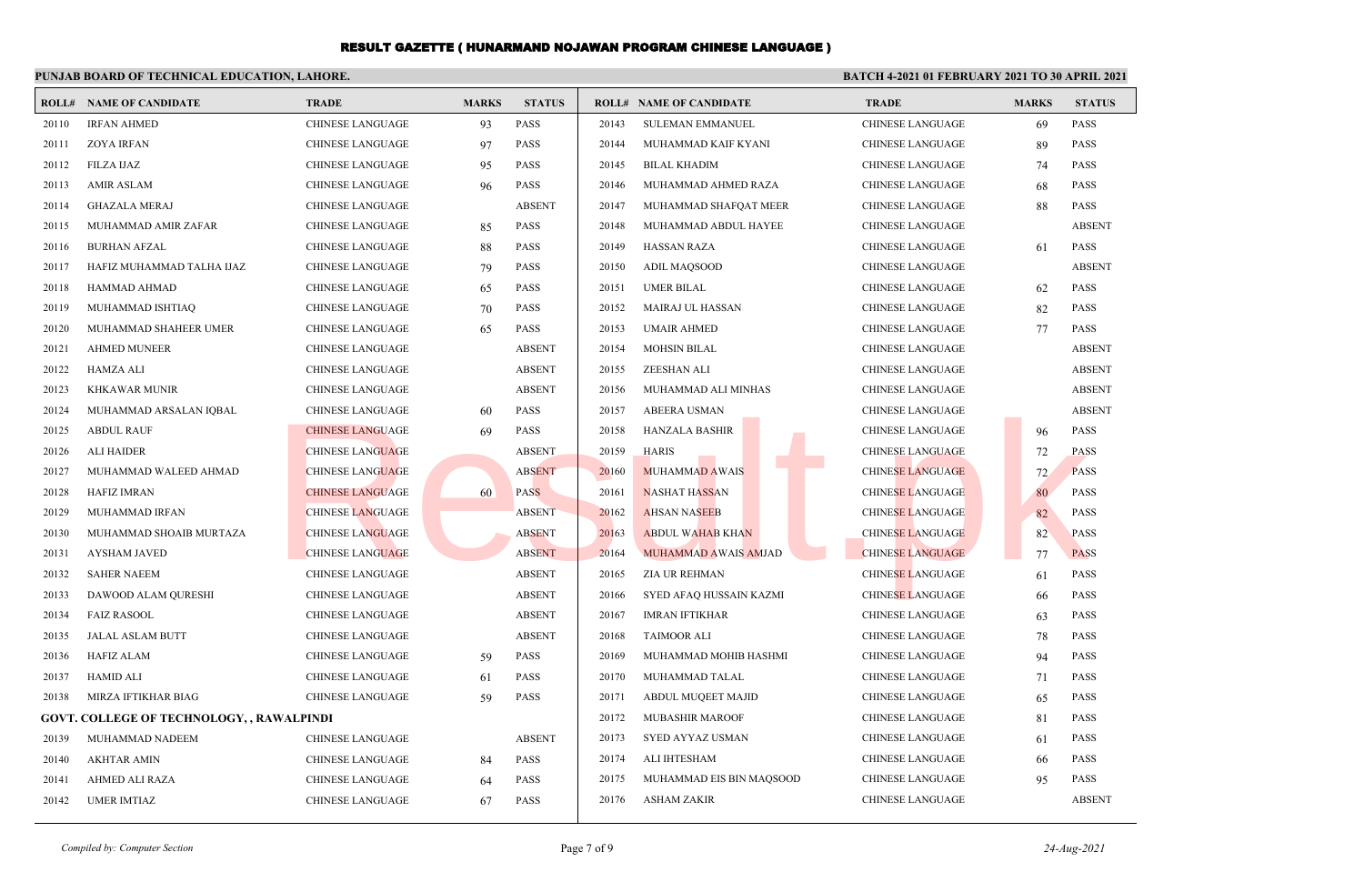|       | PUNJAB BOARD OF TECHNICAL EDUCATION, LAHORE.     |                         |              |               | BATCH 4-2021 01 FEBRUARY 2021 TO 30 APRIL 2021 |                                |                         |              |               |
|-------|--------------------------------------------------|-------------------------|--------------|---------------|------------------------------------------------|--------------------------------|-------------------------|--------------|---------------|
|       | <b>ROLL# NAME OF CANDIDATE</b>                   | <b>TRADE</b>            | <b>MARKS</b> | <b>STATUS</b> |                                                | <b>ROLL# NAME OF CANDIDATE</b> | <b>TRADE</b>            | <b>MARKS</b> | <b>STATUS</b> |
| 20110 | <b>IRFAN AHMED</b>                               | <b>CHINESE LANGUAGE</b> | 93           | <b>PASS</b>   | 20143                                          | <b>SULEMAN EMMANUEL</b>        | CHINESE LANGUAGE        | 69           | <b>PASS</b>   |
| 20111 | <b>ZOYA IRFAN</b>                                | <b>CHINESE LANGUAGE</b> | 97           | <b>PASS</b>   | 20144                                          | MUHAMMAD KAIF KYANI            | <b>CHINESE LANGUAGE</b> | 89           | PASS          |
| 20112 | FILZA IJAZ                                       | CHINESE LANGUAGE        | 95           | <b>PASS</b>   | 20145                                          | <b>BILAL KHADIM</b>            | CHINESE LANGUAGE        | 74           | PASS          |
| 20113 | <b>AMIR ASLAM</b>                                | <b>CHINESE LANGUAGE</b> | 96           | <b>PASS</b>   | 20146                                          | MUHAMMAD AHMED RAZA            | <b>CHINESE LANGUAGE</b> | 68           | <b>PASS</b>   |
| 20114 | <b>GHAZALA MERAJ</b>                             | <b>CHINESE LANGUAGE</b> |              | <b>ABSENT</b> | 20147                                          | MUHAMMAD SHAFQAT MEER          | CHINESE LANGUAGE        | 88           | PASS          |
| 20115 | MUHAMMAD AMIR ZAFAR                              | <b>CHINESE LANGUAGE</b> | 85           | <b>PASS</b>   | 20148                                          | MUHAMMAD ABDUL HAYEE           | <b>CHINESE LANGUAGE</b> |              | <b>ABSENT</b> |
| 20116 | <b>BURHAN AFZAL</b>                              | <b>CHINESE LANGUAGE</b> | 88           | <b>PASS</b>   | 20149                                          | HASSAN RAZA                    | <b>CHINESE LANGUAGE</b> | 61           | <b>PASS</b>   |
| 20117 | HAFIZ MUHAMMAD TALHA IJAZ                        | <b>CHINESE LANGUAGE</b> | 79           | <b>PASS</b>   | 20150                                          | ADIL MAQSOOD                   | CHINESE LANGUAGE        |              | <b>ABSENT</b> |
| 20118 | HAMMAD AHMAD                                     | <b>CHINESE LANGUAGE</b> | 65           | <b>PASS</b>   | 20151                                          | <b>UMER BILAL</b>              | CHINESE LANGUAGE        | 62           | <b>PASS</b>   |
| 20119 | MUHAMMAD ISHTIAQ                                 | <b>CHINESE LANGUAGE</b> | 70           | <b>PASS</b>   | 20152                                          | MAIRAJ UL HASSAN               | CHINESE LANGUAGE        | 82           | <b>PASS</b>   |
| 20120 | MUHAMMAD SHAHEER UMER                            | <b>CHINESE LANGUAGE</b> | 65           | <b>PASS</b>   | 20153                                          | <b>UMAIR AHMED</b>             | <b>CHINESE LANGUAGE</b> | 77           | <b>PASS</b>   |
| 20121 | <b>AHMED MUNEER</b>                              | <b>CHINESE LANGUAGE</b> |              | <b>ABSENT</b> | 20154                                          | <b>MOHSIN BILAL</b>            | <b>CHINESE LANGUAGE</b> |              | <b>ABSENT</b> |
| 20122 | <b>HAMZA ALI</b>                                 | <b>CHINESE LANGUAGE</b> |              | <b>ABSENT</b> | 20155                                          | <b>ZEESHAN ALI</b>             | CHINESE LANGUAGE        |              | <b>ABSENT</b> |
| 20123 | <b>KHKAWAR MUNIR</b>                             | <b>CHINESE LANGUAGE</b> |              | <b>ABSENT</b> | 20156                                          | MUHAMMAD ALI MINHAS            | CHINESE LANGUAGE        |              | <b>ABSENT</b> |
| 20124 | MUHAMMAD ARSALAN IQBAL                           | <b>CHINESE LANGUAGE</b> | 60           | <b>PASS</b>   | 20157                                          | <b>ABEERA USMAN</b>            | CHINESE LANGUAGE        |              | <b>ABSENT</b> |
| 20125 | <b>ABDUL RAUF</b>                                | <b>CHINESE LANGUAGE</b> | 69           | <b>PASS</b>   | 20158                                          | <b>HANZALA BASHIR</b>          | CHINESE LANGUAGE        | 96           | <b>PASS</b>   |
| 20126 | <b>ALI HAIDER</b>                                | <b>CHINESE LANGUAGE</b> |              | <b>ABSENT</b> | 20159                                          | <b>HARIS</b>                   | <b>CHINESE LANGUAGE</b> | 72           | <b>PASS</b>   |
| 20127 | MUHAMMAD WALEED AHMAD                            | <b>CHINESE LANGUAGE</b> |              | <b>ABSENT</b> | 20160                                          | <b>MUHAMMAD AWAIS</b>          | <b>CHINESE LANGUAGE</b> | 72           | <b>PASS</b>   |
| 20128 | <b>HAFIZ IMRAN</b>                               | <b>CHINESE LANGUAGE</b> | 60           | <b>PASS</b>   | 20161                                          | <b>NASHAT HASSAN</b>           | <b>CHINESE LANGUAGE</b> | 80           | <b>PASS</b>   |
| 20129 | MUHAMMAD IRFAN                                   | <b>CHINESE LANGUAGE</b> |              | <b>ABSENT</b> | 20162                                          | <b>AHSAN NASEEB</b>            | <b>CHINESE LANGUAGE</b> | 82           | PASS          |
| 20130 | MUHAMMAD SHOAIB MURTAZA                          | <b>CHINESE LANGUAGE</b> |              | <b>ABSENT</b> | 20163                                          | <b>ABDUL WAHAB KHAN</b>        | <b>CHINESE LANGUAGE</b> | 82           | <b>PASS</b>   |
| 20131 | <b>AYSHAM JAVED</b>                              | <b>CHINESE LANGUAGE</b> |              | <b>ABSENT</b> | 20164                                          | MUHAMMAD AWAIS AMJAD           | <b>CHINESE LANGUAGE</b> | 77           | <b>PASS</b>   |
| 20132 | <b>SAHER NAEEM</b>                               | <b>CHINESE LANGUAGE</b> |              | <b>ABSENT</b> | 20165                                          | ZIA UR REHMAN                  | <b>CHINESE LANGUAGE</b> | 61           | PASS          |
| 20133 | DAWOOD ALAM QURESHI                              | <b>CHINESE LANGUAGE</b> |              | <b>ABSENT</b> | 20166                                          | SYED AFAQ HUSSAIN KAZMI        | <b>CHINESE LANGUAGE</b> | 66           | <b>PASS</b>   |
| 20134 | <b>FAIZ RASOOL</b>                               | CHINESE LANGUAGE        |              | <b>ABSENT</b> | 20167                                          | <b>IMRAN IFTIKHAR</b>          | CHINESE LANGUAGE        | 63           | <b>PASS</b>   |
| 20135 | <b>JALAL ASLAM BUTT</b>                          | <b>CHINESE LANGUAGE</b> |              | <b>ABSENT</b> | 20168                                          | <b>TAIMOOR ALI</b>             | <b>CHINESE LANGUAGE</b> | 78           | <b>PASS</b>   |
| 20136 | <b>HAFIZ ALAM</b>                                | <b>CHINESE LANGUAGE</b> | 59           | <b>PASS</b>   | 20169                                          | MUHAMMAD MOHIB HASHMI          | <b>CHINESE LANGUAGE</b> | 94           | <b>PASS</b>   |
| 20137 | <b>HAMID ALI</b>                                 | <b>CHINESE LANGUAGE</b> | 61           | <b>PASS</b>   | 20170                                          | MUHAMMAD TALAL                 | CHINESE LANGUAGE        | 71           | <b>PASS</b>   |
| 20138 | MIRZA IFTIKHAR BIAG                              | <b>CHINESE LANGUAGE</b> | 59           | <b>PASS</b>   | 20171                                          | ABDUL MUQEET MAJID             | <b>CHINESE LANGUAGE</b> | 65           | <b>PASS</b>   |
|       | <b>GOVT. COLLEGE OF TECHNOLOGY, , RAWALPINDI</b> |                         |              |               | 20172                                          | <b>MUBASHIR MAROOF</b>         | CHINESE LANGUAGE        | 81           | PASS          |
| 20139 | MUHAMMAD NADEEM                                  | <b>CHINESE LANGUAGE</b> |              | <b>ABSENT</b> | 20173                                          | SYED AYYAZ USMAN               | <b>CHINESE LANGUAGE</b> | 61           | <b>PASS</b>   |
| 20140 | <b>AKHTAR AMIN</b>                               | CHINESE LANGUAGE        | 84           | <b>PASS</b>   | 20174                                          | ALI IHTESHAM                   | CHINESE LANGUAGE        | 66           | PASS          |
| 20141 | AHMED ALI RAZA                                   | CHINESE LANGUAGE        | 64           | <b>PASS</b>   | 20175                                          | MUHAMMAD EIS BIN MAQSOOD       | <b>CHINESE LANGUAGE</b> | 95           | <b>PASS</b>   |
| 20142 | <b>UMER IMTIAZ</b>                               | CHINESE LANGUAGE        | 67           | PASS          | 20176                                          | <b>ASHAM ZAKIR</b>             | <b>CHINESE LANGUAGE</b> |              | <b>ABSENT</b> |
|       |                                                  |                         |              |               |                                                |                                |                         |              |               |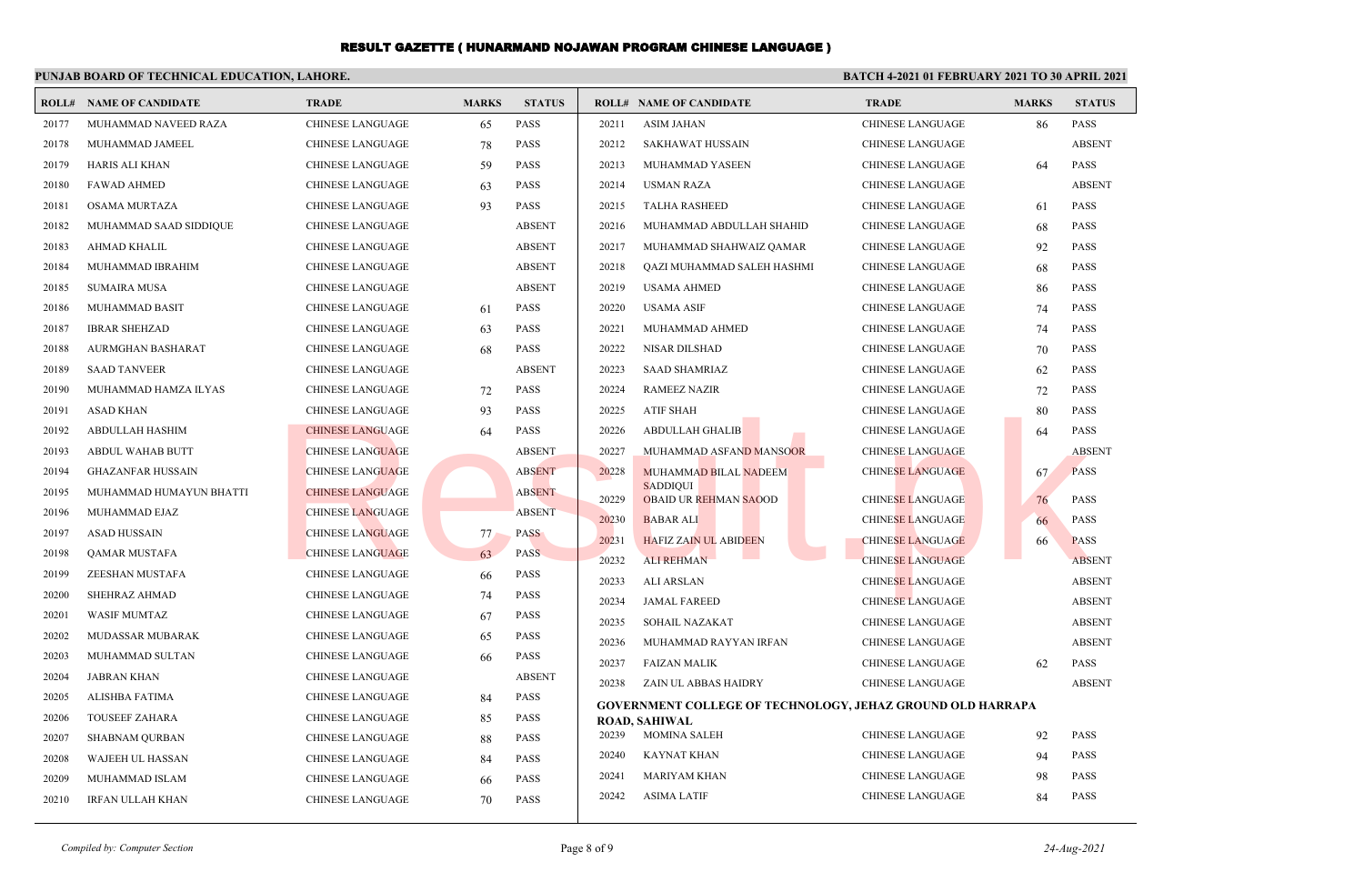|       | PUNJAB BOARD OF TECHNICAL EDUCATION, LAHORE. |                         |              |               | <b>BATCH 4-2021 01 FEBRUARY 2021 TO 30 APRIL 2021</b> |                                                                   |                         |              |               |
|-------|----------------------------------------------|-------------------------|--------------|---------------|-------------------------------------------------------|-------------------------------------------------------------------|-------------------------|--------------|---------------|
|       | <b>ROLL# NAME OF CANDIDATE</b>               | <b>TRADE</b>            | <b>MARKS</b> | <b>STATUS</b> |                                                       | <b>ROLL# NAME OF CANDIDATE</b>                                    | <b>TRADE</b>            | <b>MARKS</b> | <b>STATUS</b> |
| 20177 | MUHAMMAD NAVEED RAZA                         | <b>CHINESE LANGUAGE</b> | 65           | <b>PASS</b>   | 20211                                                 | ASIM JAHAN                                                        | CHINESE LANGUAGE        | 86           | <b>PASS</b>   |
| 20178 | MUHAMMAD JAMEEL                              | <b>CHINESE LANGUAGE</b> | 78           | <b>PASS</b>   | 20212                                                 | <b>SAKHAWAT HUSSAIN</b>                                           | <b>CHINESE LANGUAGE</b> |              | <b>ABSENT</b> |
| 20179 | HARIS ALI KHAN                               | CHINESE LANGUAGE        | 59           | <b>PASS</b>   | 20213                                                 | MUHAMMAD YASEEN                                                   | CHINESE LANGUAGE        | 64           | <b>PASS</b>   |
| 20180 | <b>FAWAD AHMED</b>                           | <b>CHINESE LANGUAGE</b> | 63           | <b>PASS</b>   | 20214                                                 | USMAN RAZA                                                        | <b>CHINESE LANGUAGE</b> |              | <b>ABSENT</b> |
| 20181 | <b>OSAMA MURTAZA</b>                         | <b>CHINESE LANGUAGE</b> | 93           | PASS          | 20215                                                 | <b>TALHA RASHEED</b>                                              | CHINESE LANGUAGE        | 61           | <b>PASS</b>   |
| 20182 | MUHAMMAD SAAD SIDDIQUE                       | <b>CHINESE LANGUAGE</b> |              | <b>ABSENT</b> | 20216                                                 | MUHAMMAD ABDULLAH SHAHID                                          | <b>CHINESE LANGUAGE</b> | 68           | <b>PASS</b>   |
| 20183 | AHMAD KHALIL                                 | <b>CHINESE LANGUAGE</b> |              | <b>ABSENT</b> | 20217                                                 | MUHAMMAD SHAHWAIZ QAMAR                                           | CHINESE LANGUAGE        | 92           | <b>PASS</b>   |
| 20184 | MUHAMMAD IBRAHIM                             | <b>CHINESE LANGUAGE</b> |              | <b>ABSENT</b> | 20218                                                 | QAZI MUHAMMAD SALEH HASHMI                                        | CHINESE LANGUAGE        | 68           | <b>PASS</b>   |
| 20185 | <b>SUMAIRA MUSA</b>                          | <b>CHINESE LANGUAGE</b> |              | <b>ABSENT</b> | 20219                                                 | <b>USAMA AHMED</b>                                                | <b>CHINESE LANGUAGE</b> | 86           | <b>PASS</b>   |
| 20186 | MUHAMMAD BASIT                               | <b>CHINESE LANGUAGE</b> | 61           | <b>PASS</b>   | 20220                                                 | <b>USAMA ASIF</b>                                                 | CHINESE LANGUAGE        | 74           | <b>PASS</b>   |
| 20187 | <b>IBRAR SHEHZAD</b>                         | <b>CHINESE LANGUAGE</b> | 63           | <b>PASS</b>   | 20221                                                 | MUHAMMAD AHMED                                                    | <b>CHINESE LANGUAGE</b> | 74           | <b>PASS</b>   |
| 20188 | AURMGHAN BASHARAT                            | CHINESE LANGUAGE        | 68           | <b>PASS</b>   | 20222                                                 | NISAR DILSHAD                                                     | CHINESE LANGUAGE        | 70           | <b>PASS</b>   |
| 20189 | <b>SAAD TANVEER</b>                          | <b>CHINESE LANGUAGE</b> |              | <b>ABSENT</b> | 20223                                                 | <b>SAAD SHAMRIAZ</b>                                              | CHINESE LANGUAGE        | 62           | <b>PASS</b>   |
| 20190 | MUHAMMAD HAMZA ILYAS                         | <b>CHINESE LANGUAGE</b> | 72           | PASS          | 20224                                                 | <b>RAMEEZ NAZIR</b>                                               | CHINESE LANGUAGE        | 72           | <b>PASS</b>   |
| 20191 | <b>ASAD KHAN</b>                             | <b>CHINESE LANGUAGE</b> | 93           | <b>PASS</b>   | 20225                                                 | <b>ATIF SHAH</b>                                                  | <b>CHINESE LANGUAGE</b> | 80           | <b>PASS</b>   |
| 20192 | <b>ABDULLAH HASHIM</b>                       | <b>CHINESE LANGUAGE</b> | 64           | <b>PASS</b>   | 20226                                                 | <b>ABDULLAH GHALIB</b>                                            | <b>CHINESE LANGUAGE</b> | 64           | <b>PASS</b>   |
| 20193 | ABDUL WAHAB BUTT                             | <b>CHINESE LANGUAGE</b> |              | <b>ABSENT</b> | 20227                                                 | MUHAMMAD ASFAND MANSOOR                                           | <b>CHINESE LANGUAGE</b> |              | <b>ABSENT</b> |
| 20194 | <b>GHAZANFAR HUSSAIN</b>                     | <b>CHINESE LANGUAGE</b> |              | <b>ABSENT</b> | 20228                                                 | <b>MUHAMMAD BILAL NADEEM</b>                                      | <b>CHINESE LANGUAGE</b> | 67           | <b>PASS</b>   |
| 20195 | MUHAMMAD HUMAYUN BHATTI                      | <b>CHINESE LANGUAGE</b> |              | <b>ABSENT</b> | 20229                                                 | <b>SADDIQUI</b><br><b>OBAID UR REHMAN SAOOD</b>                   | <b>CHINESE LANGUAGE</b> | 76           | <b>PASS</b>   |
| 20196 | MUHAMMAD EJAZ                                | <b>CHINESE LANGUAGE</b> |              | <b>ABSENT</b> | 20230                                                 | <b>BABAR ALI</b>                                                  | <b>CHINESE LANGUAGE</b> | 66           | <b>PASS</b>   |
| 20197 | <b>ASAD HUSSAIN</b>                          | <b>CHINESE LANGUAGE</b> | 77           | <b>PASS</b>   | 20231                                                 | <b>HAFIZ ZAIN UL ABIDEEN</b>                                      | <b>CHINESE LANGUAGE</b> | 66           | <b>PASS</b>   |
| 20198 | QAMAR MUSTAFA                                | <b>CHINESE LANGUAGE</b> | 63           | <b>PASS</b>   | 20232                                                 | <b>ALI REHMAN</b>                                                 | <b>CHINESE LANGUAGE</b> |              | <b>ABSENT</b> |
| 20199 | ZEESHAN MUSTAFA                              | <b>CHINESE LANGUAGE</b> | 66           | <b>PASS</b>   | 20233                                                 | <b>ALI ARSLAN</b>                                                 | <b>CHINESE LANGUAGE</b> |              | <b>ABSENT</b> |
| 20200 | SHEHRAZ AHMAD                                | <b>CHINESE LANGUAGE</b> | 74           | <b>PASS</b>   | 20234                                                 | <b>JAMAL FAREED</b>                                               | <b>CHINESE LANGUAGE</b> |              | <b>ABSENT</b> |
| 20201 | <b>WASIF MUMTAZ</b>                          | <b>CHINESE LANGUAGE</b> | 67           | <b>PASS</b>   | 20235                                                 | SOHAIL NAZAKAT                                                    | CHINESE LANGUAGE        |              | <b>ABSENT</b> |
| 20202 | <b>MUDASSAR MUBARAK</b>                      | CHINESE LANGUAGE        | 65           | <b>PASS</b>   | 20236                                                 | MUHAMMAD RAYYAN IRFAN                                             | <b>CHINESE LANGUAGE</b> |              | <b>ABSENT</b> |
| 20203 | MUHAMMAD SULTAN                              | <b>CHINESE LANGUAGE</b> | 66           | <b>PASS</b>   | 20237                                                 | <b>FAIZAN MALIK</b>                                               | CHINESE LANGUAGE        | 62           | <b>PASS</b>   |
| 20204 | JABRAN KHAN                                  | <b>CHINESE LANGUAGE</b> |              | <b>ABSENT</b> | 20238                                                 | ZAIN UL ABBAS HAIDRY                                              | <b>CHINESE LANGUAGE</b> |              | <b>ABSENT</b> |
| 20205 | ALISHBA FATIMA                               | <b>CHINESE LANGUAGE</b> | 84           | <b>PASS</b>   |                                                       | <b>GOVERNMENT COLLEGE OF TECHNOLOGY, JEHAZ GROUND OLD HARRAPA</b> |                         |              |               |
| 20206 | <b>TOUSEEF ZAHARA</b>                        | <b>CHINESE LANGUAGE</b> | 85           | <b>PASS</b>   |                                                       | <b>ROAD, SAHIWAL</b>                                              |                         |              |               |
| 20207 | <b>SHABNAM QURBAN</b>                        | <b>CHINESE LANGUAGE</b> | 88           | <b>PASS</b>   | 20239                                                 | <b>MOMINA SALEH</b>                                               | <b>CHINESE LANGUAGE</b> | 92           | <b>PASS</b>   |
| 20208 | <b>WAJEEH UL HASSAN</b>                      | <b>CHINESE LANGUAGE</b> | 84           | <b>PASS</b>   | 20240                                                 | KAYNAT KHAN                                                       | CHINESE LANGUAGE        | 94           | <b>PASS</b>   |
| 20209 | MUHAMMAD ISLAM                               | <b>CHINESE LANGUAGE</b> | 66           | <b>PASS</b>   | 20241                                                 | <b>MARIYAM KHAN</b>                                               | <b>CHINESE LANGUAGE</b> | 98           | <b>PASS</b>   |
| 20210 | <b>IRFAN ULLAH KHAN</b>                      | <b>CHINESE LANGUAGE</b> | 70           | <b>PASS</b>   | 20242                                                 | <b>ASIMA LATIF</b>                                                | CHINESE LANGUAGE        | 84           | <b>PASS</b>   |
|       |                                              |                         |              |               |                                                       |                                                                   |                         |              |               |